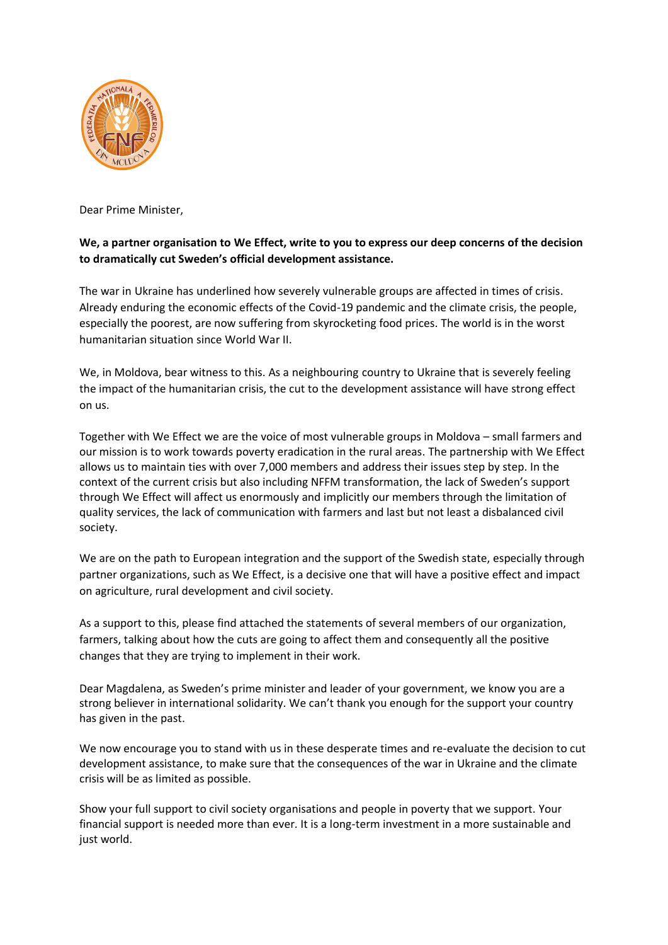

Dear Prime Minister,

## **We, a partner organisation to We Effect, write to you to express our deep concerns of the decision to dramatically cut Sweden's official development assistance.**

The war in Ukraine has underlined how severely vulnerable groups are affected in times of crisis. Already enduring the economic effects of the Covid-19 pandemic and the climate crisis, the people, especially the poorest, are now suffering from skyrocketing food prices. The world is in the worst humanitarian situation since World War II.

We, in Moldova, bear witness to this. As a neighbouring country to Ukraine that is severely feeling the impact of the humanitarian crisis, the cut to the development assistance will have strong effect on us.

Together with We Effect we are the voice of most vulnerable groups in Moldova – small farmers and our mission is to work towards poverty eradication in the rural areas. The partnership with We Effect allows us to maintain ties with over 7,000 members and address their issues step by step. In the context of the current crisis but also including NFFM transformation, the lack of Sweden's support through We Effect will affect us enormously and implicitly our members through the limitation of quality services, the lack of communication with farmers and last but not least a disbalanced civil society.

We are on the path to European integration and the support of the Swedish state, especially through partner organizations, such as We Effect, is a decisive one that will have a positive effect and impact on agriculture, rural development and civil society.

As a support to this, please find attached the statements of several members of our organization, farmers, talking about how the cuts are going to affect them and consequently all the positive changes that they are trying to implement in their work.

Dear Magdalena, as Sweden's prime minister and leader of your government, we know you are a strong believer in international solidarity. We can't thank you enough for the support your country has given in the past.

We now encourage you to stand with us in these desperate times and re-evaluate the decision to cut development assistance, to make sure that the consequences of the war in Ukraine and the climate crisis will be as limited as possible.

Show your full support to civil society organisations and people in poverty that we support. Your financial support is needed more than ever. It is a long-term investment in a more sustainable and just world.